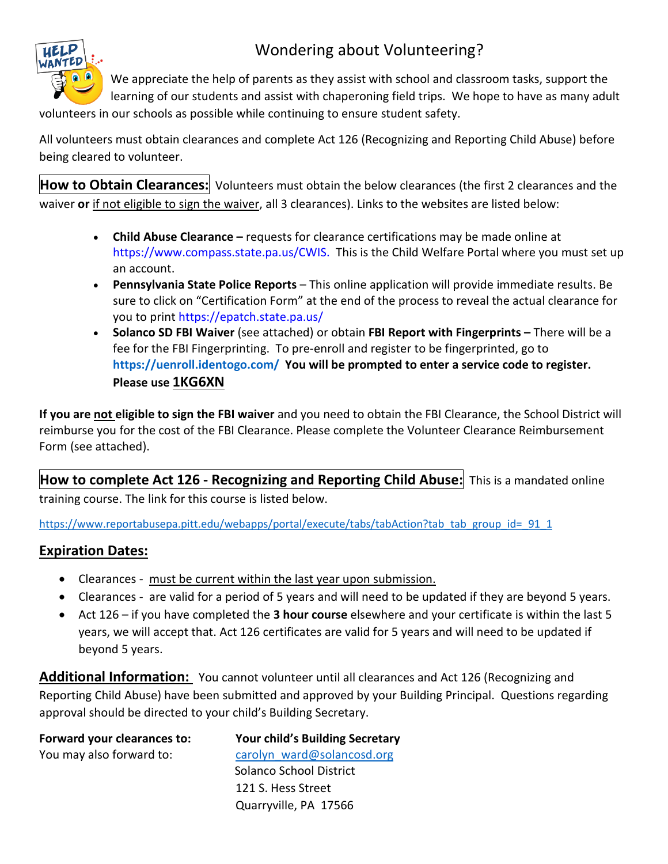# Wondering about Volunteering?

We appreciate the help of parents as they assist with school and classroom tasks, support the learning of our students and assist with chaperoning field trips. We hope to have as many adult volunteers in our schools as possible while continuing to ensure student safety.

All volunteers must obtain clearances and complete Act 126 (Recognizing and Reporting Child Abuse) before being cleared to volunteer.

**How to Obtain Clearances:** Volunteers must obtain the below clearances (the first 2 clearances and the waiver **or** if not eligible to sign the waiver, all 3 clearances). Links to the websites are listed below:

- **Child Abuse Clearance –** requests for clearance certifications may be made online at [https://www.compass.state.pa.us/CWIS.](https://www.compass.state.pa.us/CWIS) This is the Child Welfare Portal where you must set up an account.
- **Pennsylvania State Police Reports** This online application will provide immediate results. Be sure to click on "Certification Form" at the end of the process to reveal the actual clearance for you to print <https://epatch.state.pa.us/>
- **Solanco SD FBI Waiver** (see attached) or obtain **FBI Report with Fingerprints –** There will be a fee for the FBI Fingerprinting. To pre-enroll and register to be fingerprinted, go to **<https://uenroll.identogo.com/> You will be prompted to enter a service code to register. Please use 1KG6XN**

**If you are not eligible to sign the FBI waiver** and you need to obtain the FBI Clearance, the School District will reimburse you for the cost of the FBI Clearance. Please complete the Volunteer Clearance Reimbursement Form (see attached).

**How to complete Act 126 - Recognizing and Reporting Child Abuse:** This is a mandated online training course. The link for this course is listed below.

[https://www.reportabusepa.pitt.edu/webapps/portal/execute/tabs/tabAction?tab\\_tab\\_group\\_id=\\_91\\_1](https://www.reportabusepa.pitt.edu/webapps/portal/execute/tabs/tabAction?tab_tab_group_id=_91_1)\_

### **Expiration Dates:**

- Clearances must be current within the last year upon submission.
- Clearances are valid for a period of 5 years and will need to be updated if they are beyond 5 years.
- Act 126 if you have completed the **3 hour course** elsewhere and your certificate is within the last 5 years, we will accept that. Act 126 certificates are valid for 5 years and will need to be updated if beyond 5 years.

**Additional Information:** You cannot volunteer until all clearances and Act 126 (Recognizing and Reporting Child Abuse) have been submitted and approved by your Building Principal. Questions regarding approval should be directed to your child's Building Secretary.

**Forward your clearances to: Your child's Building Secretary** You may also forward to: [carolyn\\_ward@solancosd.org](mailto:carolyn_ward@solancosd.org) Solanco School District 121 S. Hess Street Quarryville, PA 17566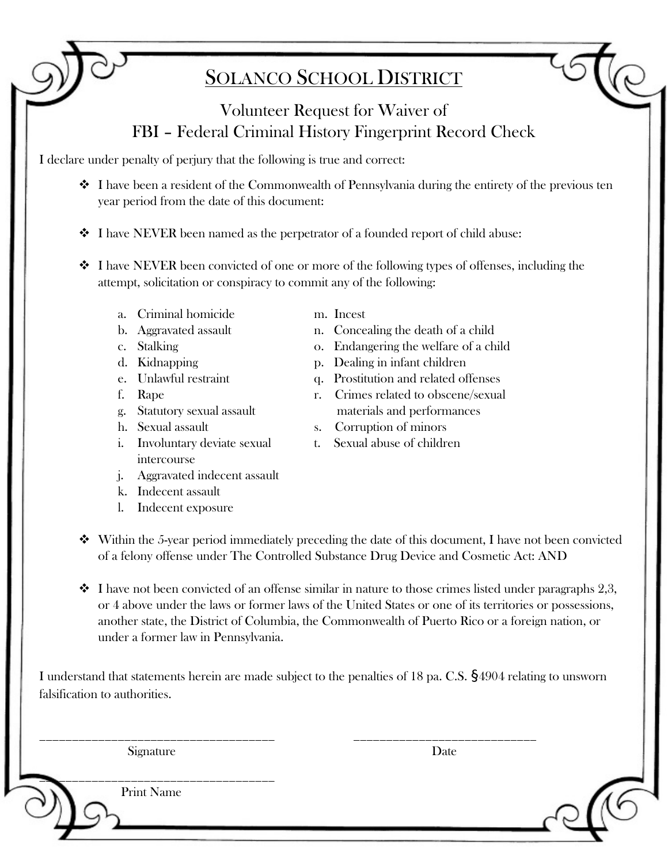# SOLANCO SCHOOL DISTRICT

# Volunteer Request for Waiver of FBI – Federal Criminal History Fingerprint Record Check

I declare under penalty of perjury that the following is true and correct:

- $\cdot \cdot$  I have been a resident of the Commonwealth of Pennsylvania during the entirety of the previous ten year period from the date of this document:
- $\div$  I have NEVER been named as the perpetrator of a founded report of child abuse:
- I have NEVER been convicted of one or more of the following types of offenses, including the attempt, solicitation or conspiracy to commit any of the following:
	- a. Criminal homicide m. Incest
	-
	-
	-
	-
	-
	-
	-
	- i. Involuntary deviate sexual t. Sexual abuse of children intercourse
	- j. Aggravated indecent assault
	- k. Indecent assault
	- l. Indecent exposure
- 
- b. Aggravated assault n. Concealing the death of a child
- c. Stalking o. Endangering the welfare of a child
- d. Kidnapping p. Dealing in infant children
- e. Unlawful restraint q. Prostitution and related offenses
- f. Rape r. Crimes related to obscene/sexual g. Statutory sexual assault materials and performances
- h. Sexual assault s. Corruption of minors
	-
- Within the 5-year period immediately preceding the date of this document, I have not been convicted of a felony offense under The Controlled Substance Drug Device and Cosmetic Act: AND
- $\bullet$  I have not been convicted of an offense similar in nature to those crimes listed under paragraphs 2,3, or 4 above under the laws or former laws of the United States or one of its territories or possessions, another state, the District of Columbia, the Commonwealth of Puerto Rico or a foreign nation, or under a former law in Pennsylvania.

I understand that statements herein are made subject to the penalties of 18 pa. C.S. §4904 relating to unsworn falsification to authorities.

\_\_\_\_\_\_\_\_\_\_\_\_\_\_\_\_\_\_\_\_\_\_\_\_\_\_\_\_\_\_\_\_\_\_\_\_ \_\_\_\_\_\_\_\_\_\_\_\_\_\_\_\_\_\_\_\_\_\_\_\_\_\_\_\_

**Signature** Date

\_\_\_\_\_\_\_\_\_\_\_\_\_\_\_\_\_\_\_\_\_\_\_\_\_\_\_\_\_\_\_\_\_\_\_\_ Print Name